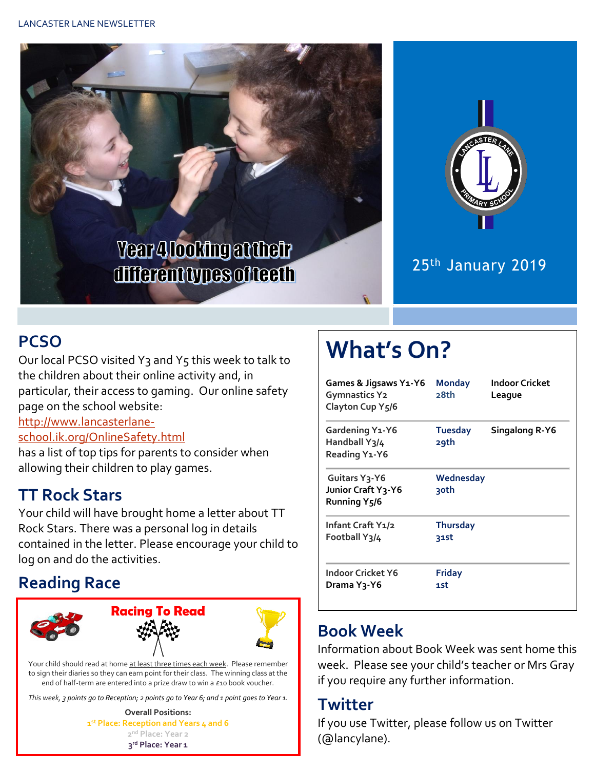



### 25th January 2019

### **PCSO**

Our local PCSO visited Y3 and Y5 this week to talk to the children about their online activity and, in particular, their access to gaming. Our online safety page on the school website:

#### [http://www.lancasterlane-](http://www.lancasterlane-school.ik.org/OnlineSafety.html)

[school.ik.org/OnlineSafety.html](http://www.lancasterlane-school.ik.org/OnlineSafety.html)

has a list of top tips for parents to consider when allowing their children to play games.

### **TT Rock Stars**

Your child will have brought home a letter about TT Rock Stars. There was a personal log in details contained in the letter. Please encourage your child to log on and do the activities.

### **Reading Race**



Your child should read at home at least three times each week. Please remember to sign their diaries so they can earn point for their class. The winning class at the end of half-term are entered into a prize draw to win a £10 book voucher.

*This week, 3 points go to Reception; 2 points go to Year 6; and 1 point goes to Year 1.*

**Overall Positions: st Place: Reception and Years 4 and 6 nd Place: Year 2 rd Place: Year 1**

# **What's On?**

| Games & Jigsaws Y1-Y6<br><b>Gymnastics Y2</b><br>Clayton Cup Y5/6 | <b>Monday</b><br>28th   | Indoor Cricket<br>League |
|-------------------------------------------------------------------|-------------------------|--------------------------|
| <b>Gardening Y1-Y6</b><br>Handball Y3/4<br>Reading Y1-Y6          | <b>Tuesday</b><br>29th  | Singalong R-Y6           |
| Guitars Y3-Y6<br>Junior Craft Y3-Y6<br>Running Y5/6               | Wednesday<br>30th       |                          |
| Infant Craft Y1/2<br>Football Y3/4                                | <b>Thursday</b><br>31st |                          |
| Indoor Cricket Y6<br>Drama Y3-Y6                                  | <b>Friday</b><br>1st    |                          |

### **Book Week**

Information about Book Week was sent home this week. Please see your child's teacher or Mrs Gray if you require any further information.

#### **Twitter**

If you use Twitter, please follow us on Twitter (@lancylane).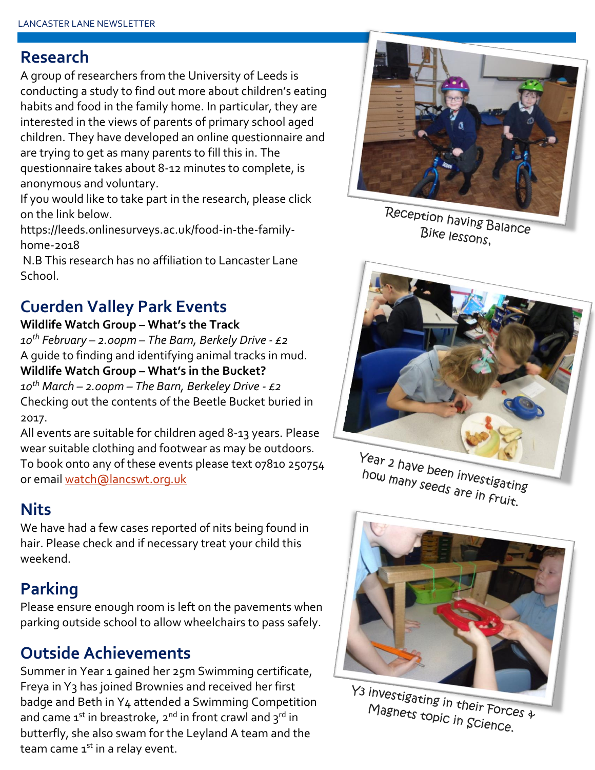#### **Research**

A group of researchers from the University of Leeds is conducting a study to find out more about children's eating habits and food in the family home. In particular, they are interested in the views of parents of primary school aged children. They have developed an online questionnaire and are trying to get as many parents to fill this in. The questionnaire takes about 8-12 minutes to complete, is anonymous and voluntary.

If you would like to take part in the research, please click on the link below.

https://leeds.onlinesurveys.ac.uk/food-in-the-familyhome-2018

N.B This research has no affiliation to Lancaster Lane School.

### **Cuerden Valley Park Events**

#### **Wildlife Watch Group – What's the Track**

*10th February – 2.00pm – The Barn, Berkely Drive - £2* A guide to finding and identifying animal tracks in mud.

**Wildlife Watch Group – What's in the Bucket?** *10th March – 2.00pm – The Barn, Berkeley Drive - £2* Checking out the contents of the Beetle Bucket buried in 2017.

All events are suitable for children aged 8-13 years. Please wear suitable clothing and footwear as may be outdoors. To book onto any of these events please text 07810 250754 or email [watch@lancswt.org.uk](mailto:watch@lancswt.org.uk)

### **Nits**

We have had a few cases reported of nits being found in hair. Please check and if necessary treat your child this weekend.

### **Parking**

Please ensure enough room is left on the pavements when parking outside school to allow wheelchairs to pass safely.

### **Outside Achievements**

Summer in Year 1 gained her 25m Swimming certificate, Freya in Y3 has joined Brownies and received her first badge and Beth in Y4 attended a Swimming Competition and came  $1^{st}$  in breastroke,  $2^{nd}$  in front crawl and  $3^{rd}$  in butterfly, she also swam for the Leyland A team and the team came  $1<sup>st</sup>$  in a relay event.



Reception having Balance Bike lessons,



Year 2 have been investigating how many seeds are in Fruit.<br>how many seeds are in Fruit.



 $\frac{1}{3}$  investigating in their Forces  $\frac{1}{4}$ <br>Magnets topic in Sciences 4 Magnets topic in their Force